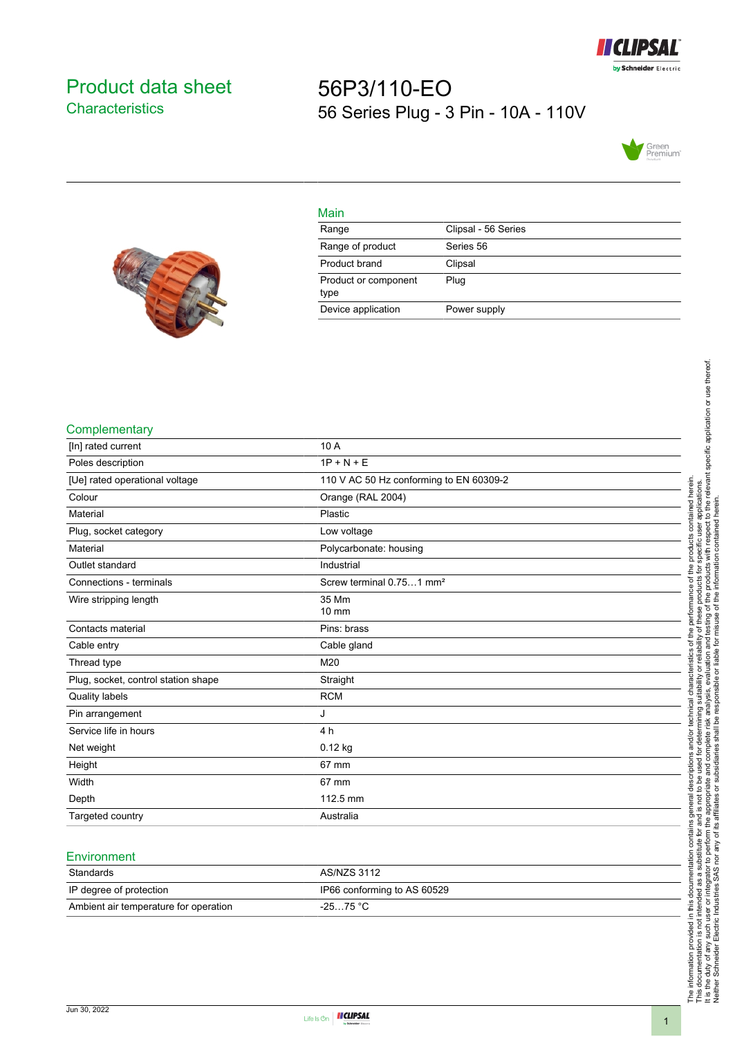

# <span id="page-0-0"></span>Product data sheet **Characteristics**

# 56P3/110-EO 56 Series Plug - 3 Pin - 10A - 110V





| Main                         |                     |
|------------------------------|---------------------|
| Range                        | Clipsal - 56 Series |
| Range of product             | Series 56           |
| Product brand                | Clipsal             |
| Product or component<br>type | Plug                |
| Device application           | Power supply        |

### **Complementary**

| [In] rated current                  | 10 A                                    |
|-------------------------------------|-----------------------------------------|
| Poles description                   | $1P + N + E$                            |
| [Ue] rated operational voltage      | 110 V AC 50 Hz conforming to EN 60309-2 |
| Colour                              | Orange (RAL 2004)                       |
| Material                            | Plastic                                 |
| Plug, socket category               | Low voltage                             |
| Material                            | Polycarbonate: housing                  |
| Outlet standard                     | Industrial                              |
| Connections - terminals             | Screw terminal 0.751 mm <sup>2</sup>    |
| Wire stripping length               | 35 Mm<br>10 mm                          |
| Contacts material                   | Pins: brass                             |
| Cable entry                         | Cable gland                             |
| Thread type                         | M20                                     |
| Plug, socket, control station shape | Straight                                |
| Quality labels                      | <b>RCM</b>                              |
| Pin arrangement                     | J                                       |
| Service life in hours               | 4 h                                     |
| Net weight                          | $0.12$ kg                               |
| Height                              | 67 mm                                   |
| Width                               | 67 mm                                   |
| Depth                               | 112.5 mm                                |
| Targeted country                    | Australia                               |

## **Environment**

| Standards                             | AS/NZS 3112                 |
|---------------------------------------|-----------------------------|
| IP degree of protection               | IP66 conforming to AS 60529 |
| Ambient air temperature for operation | $-2575 °C$                  |